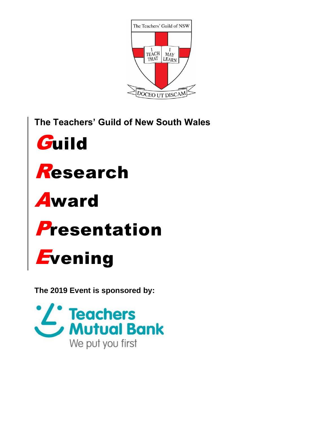

The Teachers' Guild of New South Wales





## Award

## **Presentation**

# **Evening**

The 2019 Event is sponsored by: